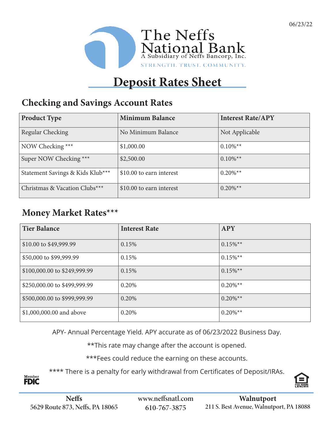

# **Deposit Rates Sheet**

### **Checking and Savings Account Rates**

| <b>Product Type</b>              | <b>Minimum Balance</b>   | <b>Interest Rate/APY</b> |
|----------------------------------|--------------------------|--------------------------|
| Regular Checking                 | No Minimum Balance       | Not Applicable           |
| NOW Checking ***                 | \$1,000.00               | $0.10\%$ <sup>**</sup>   |
| Super NOW Checking ***           | \$2,500.00               | $0.10\%$ <sup>**</sup>   |
| Statement Savings & Kids Klub*** | \$10.00 to earn interest | $0.20\%$ <sup>**</sup>   |
| Christmas & Vacation Clubs***    | \$10.00 to earn interest | $0.20\%$ <sup>**</sup>   |

### **Money Market Rates\*\*\***

| <b>Tier Balance</b>          | <b>Interest Rate</b> | <b>APY</b>             |
|------------------------------|----------------------|------------------------|
| \$10.00 to \$49,999.99       | 0.15%                | $0.15\%$ <sup>**</sup> |
| \$50,000 to \$99,999.99      | 0.15%                | $0.15\%$ <sup>**</sup> |
| \$100,000.00 to \$249,999.99 | 0.15%                | $0.15\%$ <sup>**</sup> |
| \$250,000.00 to \$499,999.99 | 0.20%                | $0.20\%$ <sup>**</sup> |
| \$500,000.00 to \$999,999.99 | 0.20%                | $0.20\%$ <sup>**</sup> |
| \$1,000,000.00 and above     | 0.20%                | $0.20\%$ <sup>**</sup> |

APY- Annual Percentage Yield. APY accurate as of 06/23/2022 Business Day.

\*\*This rate may change after the account is opened.

\*\*\*Fees could reduce the earning on these accounts.

\*\*\*\* There is a penalty for early withdrawal from Certificates of Deposit/IRAs.



Member<br>**FDIC**